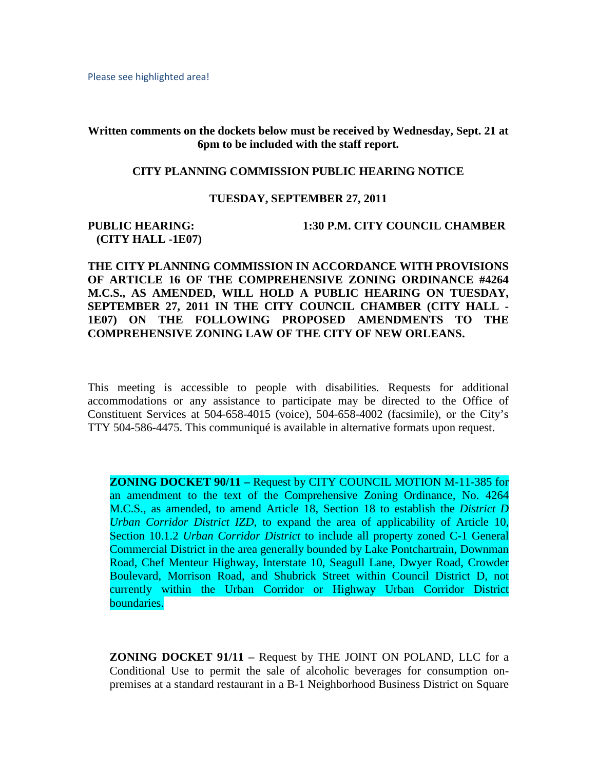Please see highlighted area!

**Written comments on the dockets below must be received by Wednesday, Sept. 21 at 6pm to be included with the staff report.**

## **CITY PLANNING COMMISSION PUBLIC HEARING NOTICE**

## **TUESDAY, SEPTEMBER 27, 2011**

## **(CITY HALL -1E07)**

**PUBLIC HEARING: 1:30 P.M. CITY COUNCIL CHAMBER**

**THE CITY PLANNING COMMISSION IN ACCORDANCE WITH PROVISIONS OF ARTICLE 16 OF THE COMPREHENSIVE ZONING ORDINANCE #4264 M.C.S., AS AMENDED, WILL HOLD A PUBLIC HEARING ON TUESDAY, SEPTEMBER 27, 2011 IN THE CITY COUNCIL CHAMBER (CITY HALL - 1E07) ON THE FOLLOWING PROPOSED AMENDMENTS TO THE COMPREHENSIVE ZONING LAW OF THE CITY OF NEW ORLEANS.**

This meeting is accessible to people with disabilities. Requests for additional accommodations or any assistance to participate may be directed to the Office of Constituent Services at 504-658-4015 (voice), 504-658-4002 (facsimile), or the City's TTY 504-586-4475. This communiqué is available in alternative formats upon request.

**ZONING DOCKET 90/11 –** Request by CITY COUNCIL MOTION M-11-385 for an amendment to the text of the Comprehensive Zoning Ordinance, No. 4264 M.C.S., as amended, to amend Article 18, Section 18 to establish the *District D Urban Corridor District IZD*, to expand the area of applicability of Article 10, Section 10.1.2 *Urban Corridor District* to include all property zoned C-1 General Commercial District in the area generally bounded by Lake Pontchartrain, Downman Road, Chef Menteur Highway, Interstate 10, Seagull Lane, Dwyer Road, Crowder Boulevard, Morrison Road, and Shubrick Street within Council District D, not currently within the Urban Corridor or Highway Urban Corridor District boundaries.

**ZONING DOCKET 91/11 –** Request by THE JOINT ON POLAND, LLC for a Conditional Use to permit the sale of alcoholic beverages for consumption onpremises at a standard restaurant in a B-1 Neighborhood Business District on Square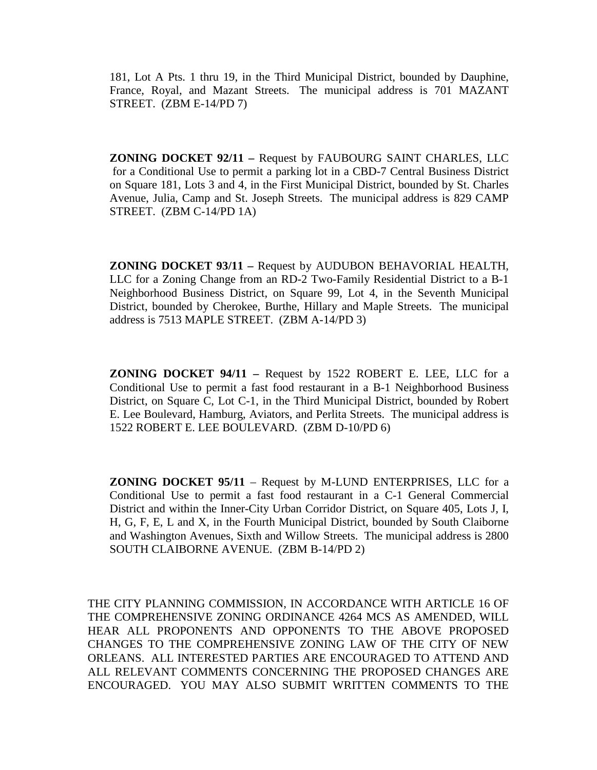181, Lot A Pts. 1 thru 19, in the Third Municipal District, bounded by Dauphine, France, Royal, and Mazant Streets. The municipal address is 701 MAZANT STREET. (ZBM E-14/PD 7)

**ZONING DOCKET 92/11 –** Request by FAUBOURG SAINT CHARLES, LLC for a Conditional Use to permit a parking lot in a CBD-7 Central Business District on Square 181, Lots 3 and 4, in the First Municipal District, bounded by St. Charles Avenue, Julia, Camp and St. Joseph Streets. The municipal address is 829 CAMP STREET. (ZBM C-14/PD 1A)

**ZONING DOCKET 93/11 –** Request by AUDUBON BEHAVORIAL HEALTH, LLC for a Zoning Change from an RD-2 Two-Family Residential District to a B-1 Neighborhood Business District, on Square 99, Lot 4, in the Seventh Municipal District, bounded by Cherokee, Burthe, Hillary and Maple Streets. The municipal address is 7513 MAPLE STREET. (ZBM A-14/PD 3)

**ZONING DOCKET 94/11 –** Request by 1522 ROBERT E. LEE, LLC for a Conditional Use to permit a fast food restaurant in a B-1 Neighborhood Business District, on Square C, Lot C-1, in the Third Municipal District, bounded by Robert E. Lee Boulevard, Hamburg, Aviators, and Perlita Streets. The municipal address is 1522 ROBERT E. LEE BOULEVARD. (ZBM D-10/PD 6)

**ZONING DOCKET 95/11** – Request by M-LUND ENTERPRISES, LLC for a Conditional Use to permit a fast food restaurant in a C-1 General Commercial District and within the Inner-City Urban Corridor District, on Square 405, Lots J, I, H, G, F, E, L and X, in the Fourth Municipal District, bounded by South Claiborne and Washington Avenues, Sixth and Willow Streets. The municipal address is 2800 SOUTH CLAIBORNE AVENUE. (ZBM B-14/PD 2)

THE CITY PLANNING COMMISSION, IN ACCORDANCE WITH ARTICLE 16 OF THE COMPREHENSIVE ZONING ORDINANCE 4264 MCS AS AMENDED, WILL HEAR ALL PROPONENTS AND OPPONENTS TO THE ABOVE PROPOSED CHANGES TO THE COMPREHENSIVE ZONING LAW OF THE CITY OF NEW ORLEANS. ALL INTERESTED PARTIES ARE ENCOURAGED TO ATTEND AND ALL RELEVANT COMMENTS CONCERNING THE PROPOSED CHANGES ARE ENCOURAGED. YOU MAY ALSO SUBMIT WRITTEN COMMENTS TO THE